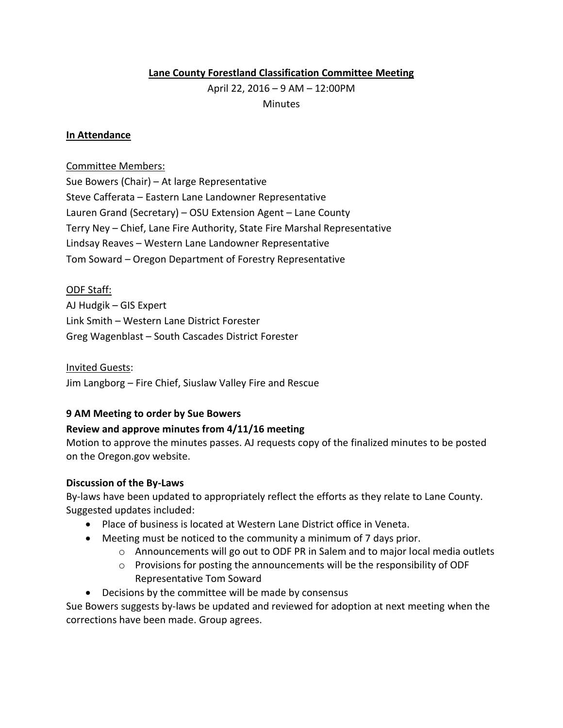## **Lane County Forestland Classification Committee Meeting**

April 22, 2016 – 9 AM – 12:00PM **Minutes** 

### **In Attendance**

### Committee Members:

Sue Bowers (Chair) – At large Representative Steve Cafferata – Eastern Lane Landowner Representative Lauren Grand (Secretary) – OSU Extension Agent – Lane County Terry Ney – Chief, Lane Fire Authority, State Fire Marshal Representative Lindsay Reaves – Western Lane Landowner Representative Tom Soward – Oregon Department of Forestry Representative

## ODF Staff:

AJ Hudgik – GIS Expert Link Smith – Western Lane District Forester Greg Wagenblast – South Cascades District Forester

### Invited Guests:

Jim Langborg – Fire Chief, Siuslaw Valley Fire and Rescue

## **9 AM Meeting to order by Sue Bowers**

## **Review and approve minutes from 4/11/16 meeting**

Motion to approve the minutes passes. AJ requests copy of the finalized minutes to be posted on the Oregon.gov website.

## **Discussion of the By-Laws**

By-laws have been updated to appropriately reflect the efforts as they relate to Lane County. Suggested updates included:

- Place of business is located at Western Lane District office in Veneta.
- Meeting must be noticed to the community a minimum of 7 days prior.
	- $\circ$  Announcements will go out to ODF PR in Salem and to major local media outlets
	- o Provisions for posting the announcements will be the responsibility of ODF Representative Tom Soward
- Decisions by the committee will be made by consensus

Sue Bowers suggests by-laws be updated and reviewed for adoption at next meeting when the corrections have been made. Group agrees.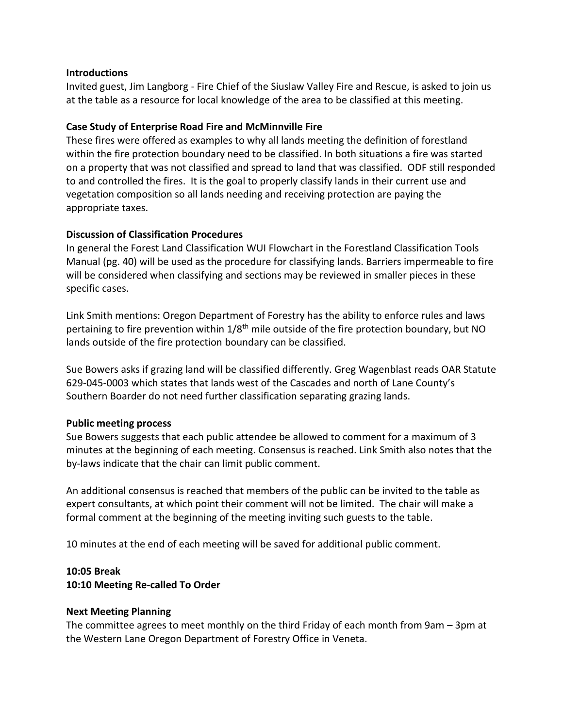## **Introductions**

Invited guest, Jim Langborg - Fire Chief of the Siuslaw Valley Fire and Rescue, is asked to join us at the table as a resource for local knowledge of the area to be classified at this meeting.

# **Case Study of Enterprise Road Fire and McMinnville Fire**

These fires were offered as examples to why all lands meeting the definition of forestland within the fire protection boundary need to be classified. In both situations a fire was started on a property that was not classified and spread to land that was classified. ODF still responded to and controlled the fires. It is the goal to properly classify lands in their current use and vegetation composition so all lands needing and receiving protection are paying the appropriate taxes.

# **Discussion of Classification Procedures**

In general the Forest Land Classification WUI Flowchart in the Forestland Classification Tools Manual (pg. 40) will be used as the procedure for classifying lands. Barriers impermeable to fire will be considered when classifying and sections may be reviewed in smaller pieces in these specific cases.

Link Smith mentions: Oregon Department of Forestry has the ability to enforce rules and laws pertaining to fire prevention within  $1/8<sup>th</sup>$  mile outside of the fire protection boundary, but NO lands outside of the fire protection boundary can be classified.

Sue Bowers asks if grazing land will be classified differently. Greg Wagenblast reads OAR Statute 629-045-0003 which states that lands west of the Cascades and north of Lane County's Southern Boarder do not need further classification separating grazing lands.

# **Public meeting process**

Sue Bowers suggests that each public attendee be allowed to comment for a maximum of 3 minutes at the beginning of each meeting. Consensus is reached. Link Smith also notes that the by-laws indicate that the chair can limit public comment.

An additional consensus is reached that members of the public can be invited to the table as expert consultants, at which point their comment will not be limited. The chair will make a formal comment at the beginning of the meeting inviting such guests to the table.

10 minutes at the end of each meeting will be saved for additional public comment.

# **10:05 Break**

# **10:10 Meeting Re-called To Order**

## **Next Meeting Planning**

The committee agrees to meet monthly on the third Friday of each month from 9am – 3pm at the Western Lane Oregon Department of Forestry Office in Veneta.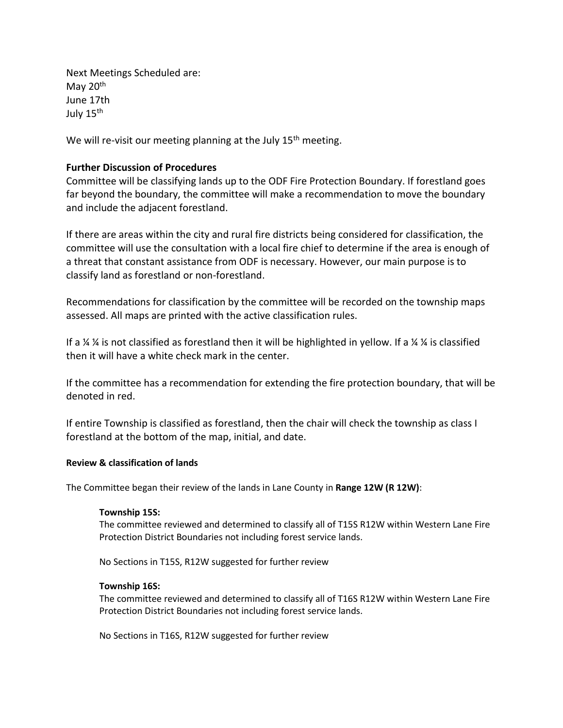Next Meetings Scheduled are: May 20<sup>th</sup> June 17th July 15<sup>th</sup>

We will re-visit our meeting planning at the July  $15<sup>th</sup>$  meeting.

### **Further Discussion of Procedures**

Committee will be classifying lands up to the ODF Fire Protection Boundary. If forestland goes far beyond the boundary, the committee will make a recommendation to move the boundary and include the adjacent forestland.

If there are areas within the city and rural fire districts being considered for classification, the committee will use the consultation with a local fire chief to determine if the area is enough of a threat that constant assistance from ODF is necessary. However, our main purpose is to classify land as forestland or non-forestland.

Recommendations for classification by the committee will be recorded on the township maps assessed. All maps are printed with the active classification rules.

If a  $\frac{1}{4}$  % is not classified as forestland then it will be highlighted in yellow. If a  $\frac{1}{4}$  % is classified then it will have a white check mark in the center.

If the committee has a recommendation for extending the fire protection boundary, that will be denoted in red.

If entire Township is classified as forestland, then the chair will check the township as class I forestland at the bottom of the map, initial, and date.

### **Review & classification of lands**

The Committee began their review of the lands in Lane County in **Range 12W (R 12W)**:

#### **Township 15S:**

The committee reviewed and determined to classify all of T15S R12W within Western Lane Fire Protection District Boundaries not including forest service lands.

No Sections in T15S, R12W suggested for further review

#### **Township 16S:**

The committee reviewed and determined to classify all of T16S R12W within Western Lane Fire Protection District Boundaries not including forest service lands.

No Sections in T16S, R12W suggested for further review